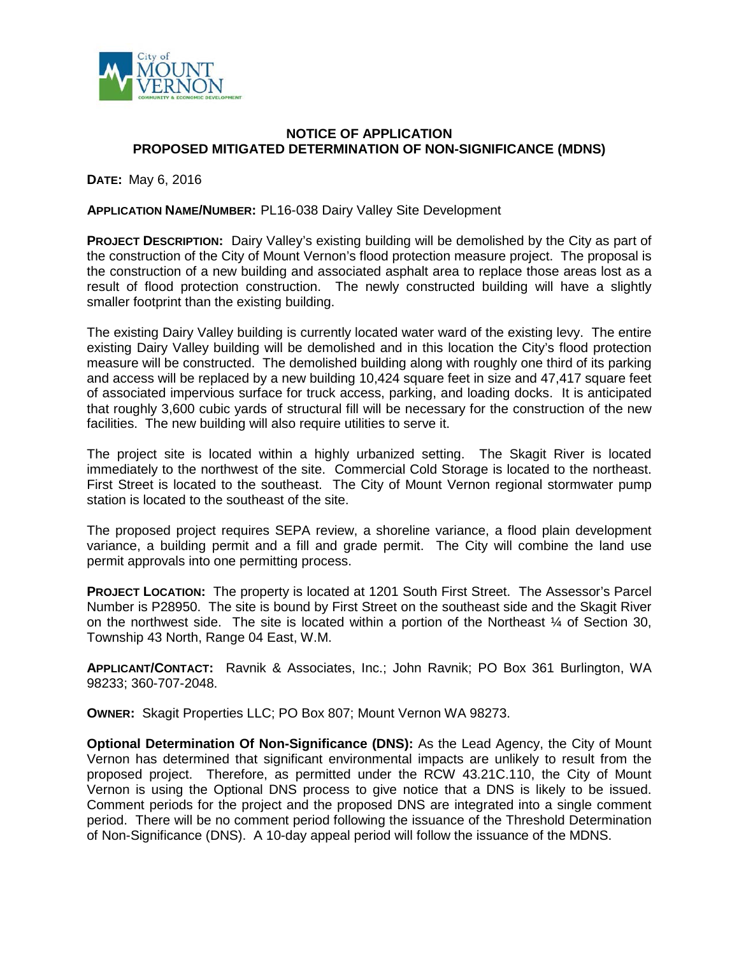

## **NOTICE OF APPLICATION PROPOSED MITIGATED DETERMINATION OF NON-SIGNIFICANCE (MDNS)**

**DATE:** May 6, 2016

**APPLICATION NAME/NUMBER:** PL16-038 Dairy Valley Site Development

**PROJECT DESCRIPTION:** Dairy Valley's existing building will be demolished by the City as part of the construction of the City of Mount Vernon's flood protection measure project. The proposal is the construction of a new building and associated asphalt area to replace those areas lost as a result of flood protection construction. The newly constructed building will have a slightly smaller footprint than the existing building.

The existing Dairy Valley building is currently located water ward of the existing levy. The entire existing Dairy Valley building will be demolished and in this location the City's flood protection measure will be constructed. The demolished building along with roughly one third of its parking and access will be replaced by a new building 10,424 square feet in size and 47,417 square feet of associated impervious surface for truck access, parking, and loading docks. It is anticipated that roughly 3,600 cubic yards of structural fill will be necessary for the construction of the new facilities. The new building will also require utilities to serve it.

The project site is located within a highly urbanized setting. The Skagit River is located immediately to the northwest of the site. Commercial Cold Storage is located to the northeast. First Street is located to the southeast. The City of Mount Vernon regional stormwater pump station is located to the southeast of the site.

The proposed project requires SEPA review, a shoreline variance, a flood plain development variance, a building permit and a fill and grade permit. The City will combine the land use permit approvals into one permitting process.

**PROJECT LOCATION:** The property is located at 1201 South First Street. The Assessor's Parcel Number is P28950. The site is bound by First Street on the southeast side and the Skagit River on the northwest side. The site is located within a portion of the Northeast  $\frac{1}{4}$  of Section 30, Township 43 North, Range 04 East, W.M.

**APPLICANT/CONTACT:** Ravnik & Associates, Inc.; John Ravnik; PO Box 361 Burlington, WA 98233; 360-707-2048.

**OWNER:** Skagit Properties LLC; PO Box 807; Mount Vernon WA 98273.

**Optional Determination Of Non-Significance (DNS):** As the Lead Agency, the City of Mount Vernon has determined that significant environmental impacts are unlikely to result from the proposed project. Therefore, as permitted under the RCW 43.21C.110, the City of Mount Vernon is using the Optional DNS process to give notice that a DNS is likely to be issued. Comment periods for the project and the proposed DNS are integrated into a single comment period. There will be no comment period following the issuance of the Threshold Determination of Non-Significance (DNS). A 10-day appeal period will follow the issuance of the MDNS.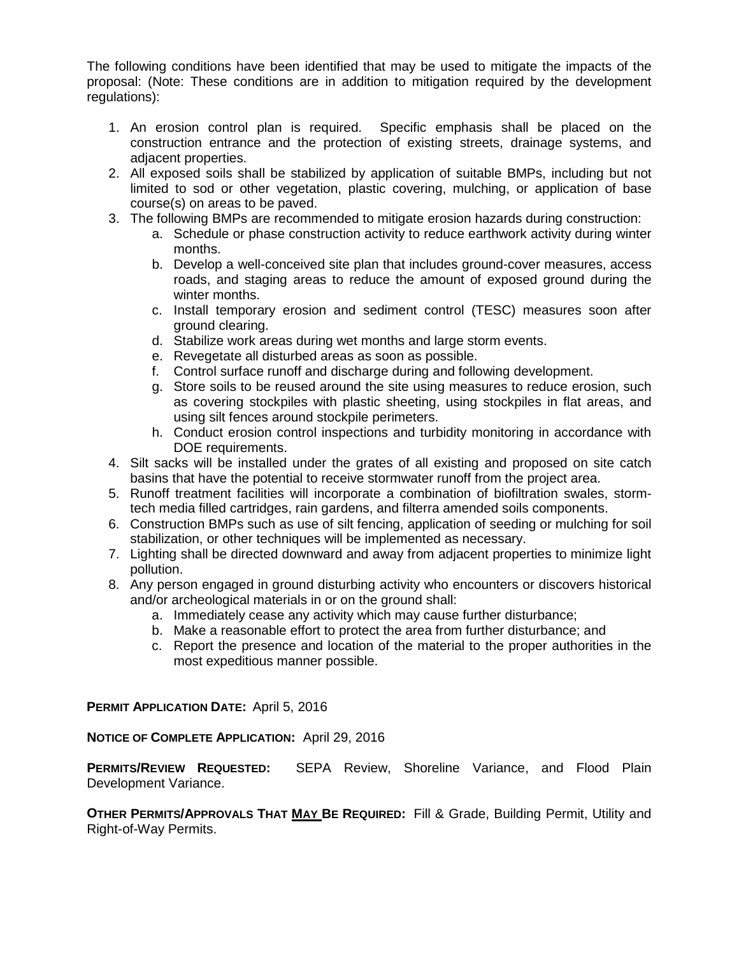The following conditions have been identified that may be used to mitigate the impacts of the proposal: (Note: These conditions are in addition to mitigation required by the development regulations):

- 1. An erosion control plan is required. Specific emphasis shall be placed on the construction entrance and the protection of existing streets, drainage systems, and adjacent properties.
- 2. All exposed soils shall be stabilized by application of suitable BMPs, including but not limited to sod or other vegetation, plastic covering, mulching, or application of base course(s) on areas to be paved.
- 3. The following BMPs are recommended to mitigate erosion hazards during construction:
	- a. Schedule or phase construction activity to reduce earthwork activity during winter months.
	- b. Develop a well-conceived site plan that includes ground-cover measures, access roads, and staging areas to reduce the amount of exposed ground during the winter months.
	- c. Install temporary erosion and sediment control (TESC) measures soon after ground clearing.
	- d. Stabilize work areas during wet months and large storm events.
	- e. Revegetate all disturbed areas as soon as possible.
	- f. Control surface runoff and discharge during and following development.
	- g. Store soils to be reused around the site using measures to reduce erosion, such as covering stockpiles with plastic sheeting, using stockpiles in flat areas, and using silt fences around stockpile perimeters.
	- h. Conduct erosion control inspections and turbidity monitoring in accordance with DOE requirements.
- 4. Silt sacks will be installed under the grates of all existing and proposed on site catch basins that have the potential to receive stormwater runoff from the project area.
- 5. Runoff treatment facilities will incorporate a combination of biofiltration swales, stormtech media filled cartridges, rain gardens, and filterra amended soils components.
- 6. Construction BMPs such as use of silt fencing, application of seeding or mulching for soil stabilization, or other techniques will be implemented as necessary.
- 7. Lighting shall be directed downward and away from adjacent properties to minimize light pollution.
- 8. Any person engaged in ground disturbing activity who encounters or discovers historical and/or archeological materials in or on the ground shall:
	- a. Immediately cease any activity which may cause further disturbance;
	- b. Make a reasonable effort to protect the area from further disturbance; and
	- c. Report the presence and location of the material to the proper authorities in the most expeditious manner possible.

## **PERMIT APPLICATION DATE:** April 5, 2016

**NOTICE OF COMPLETE APPLICATION:** April 29, 2016

**PERMITS/REVIEW REQUESTED:** SEPA Review, Shoreline Variance, and Flood Plain Development Variance.

**OTHER PERMITS/APPROVALS THAT MAY BE REQUIRED:** Fill & Grade, Building Permit, Utility and Right-of-Way Permits.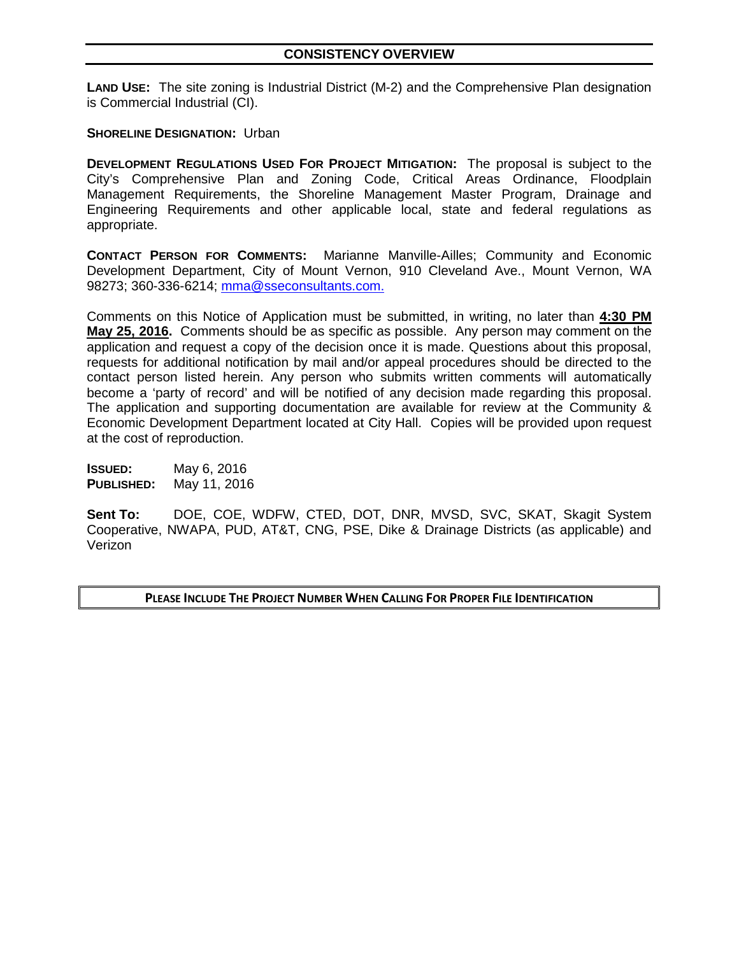**LAND USE:** The site zoning is Industrial District (M-2) and the Comprehensive Plan designation is Commercial Industrial (CI).

## **SHORELINE DESIGNATION: Urban**

**DEVELOPMENT REGULATIONS USED FOR PROJECT MITIGATION:** The proposal is subject to the City's Comprehensive Plan and Zoning Code, Critical Areas Ordinance, Floodplain Management Requirements, the Shoreline Management Master Program, Drainage and Engineering Requirements and other applicable local, state and federal regulations as appropriate.

**CONTACT PERSON FOR COMMENTS:** Marianne Manville-Ailles; Community and Economic Development Department, City of Mount Vernon, 910 Cleveland Ave., Mount Vernon, WA 98273; 360-336-6214; [mma@sseconsultants.com.](mailto:mma@sseconsultants.com)

Comments on this Notice of Application must be submitted, in writing, no later than **4:30 PM May 25, 2016.** Comments should be as specific as possible. Any person may comment on the application and request a copy of the decision once it is made. Questions about this proposal, requests for additional notification by mail and/or appeal procedures should be directed to the contact person listed herein. Any person who submits written comments will automatically become a 'party of record' and will be notified of any decision made regarding this proposal. The application and supporting documentation are available for review at the Community & Economic Development Department located at City Hall. Copies will be provided upon request at the cost of reproduction.

**ISSUED:** May 6, 2016 **PUBLISHED:** May 11, 2016

**Sent To:** DOE, COE, WDFW, CTED, DOT, DNR, MVSD, SVC, SKAT, Skagit System Cooperative, NWAPA, PUD, AT&T, CNG, PSE, Dike & Drainage Districts (as applicable) and Verizon

**PLEASE INCLUDE THE PROJECT NUMBER WHEN CALLING FOR PROPER FILE IDENTIFICATION**